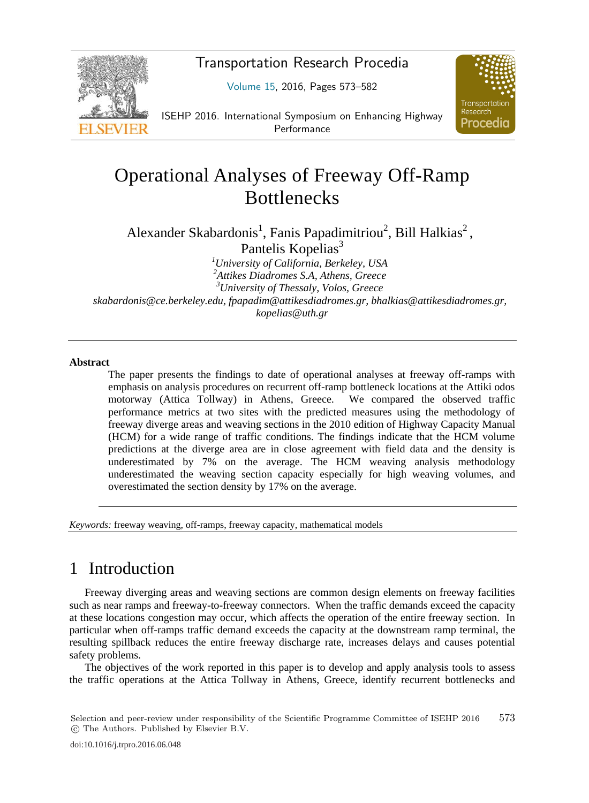

Transportation Research Procedia

 $\mathcal{L}$ 



ISEHP 2016. International Symposium on Enhancing Highway Performance

# Operational Analyses of Freeway Off-Ramp **Bottlenecks**

Alexander Skabardonis<sup>1</sup>, Fanis Papadimitriou<sup>2</sup>, Bill Halkias<sup>2</sup>,

Pantelis Kopelias<sup>3</sup>

*1 University of California, Berkeley, USA 2 Attikes Diadromes S.A, Athens, Greece 3 University of Thessaly, Volos, Greece skabardonis@ce.berkeley.edu, fpapadim@attikesdiadromes.gr, bhalkias@attikesdiadromes.gr, kopelias@uth.gr* 

#### **Abstract**

The paper presents the findings to date of operational analyses at freeway off-ramps with emphasis on analysis procedures on recurrent off-ramp bottleneck locations at the Attiki odos motorway (Attica Tollway) in Athens, Greece. We compared the observed traffic performance metrics at two sites with the predicted measures using the methodology of freeway diverge areas and weaving sections in the 2010 edition of Highway Capacity Manual (HCM) for a wide range of traffic conditions. The findings indicate that the HCM volume predictions at the diverge area are in close agreement with field data and the density is underestimated by 7% on the average. The HCM weaving analysis methodology underestimated the weaving section capacity especially for high weaving volumes, and overestimated the section density by 17% on the average.

*Keywords:* freeway weaving, off-ramps, freeway capacity, mathematical models

### 1 Introduction

Freeway diverging areas and weaving sections are common design elements on freeway facilities such as near ramps and freeway-to-freeway connectors. When the traffic demands exceed the capacity at these locations congestion may occur, which affects the operation of the entire freeway section. In particular when off-ramps traffic demand exceeds the capacity at the downstream ramp terminal, the resulting spillback reduces the entire freeway discharge rate, increases delays and causes potential safety problems.

The objectives of the work reported in this paper is to develop and apply analysis tools to assess the traffic operations at the Attica Tollway in Athens, Greece, identify recurrent bottlenecks and

Selection and peer-review under responsibility of the Scientific Programme Committee of ISEHP 2016 -c The Authors. Published by Elsevier B.V. 573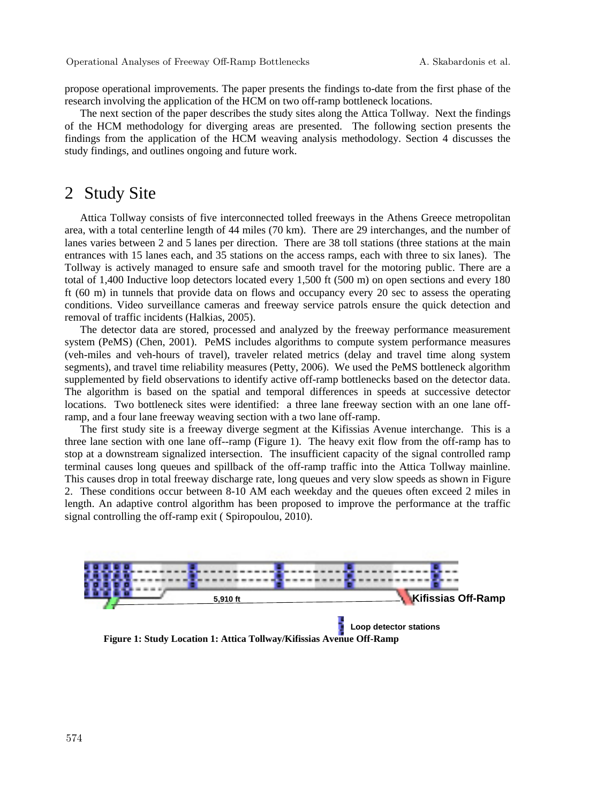propose operational improvements. The paper presents the findings to-date from the first phase of the research involving the application of the HCM on two off-ramp bottleneck locations.

The next section of the paper describes the study sites along the Attica Tollway. Next the findings of the HCM methodology for diverging areas are presented. The following section presents the findings from the application of the HCM weaving analysis methodology. Section 4 discusses the study findings, and outlines ongoing and future work.

#### 2 Study Site

Attica Tollway consists of five interconnected tolled freeways in the Athens Greece metropolitan area, with a total centerline length of 44 miles (70 km). There are 29 interchanges, and the number of lanes varies between 2 and 5 lanes per direction. There are 38 toll stations (three stations at the main entrances with 15 lanes each, and 35 stations on the access ramps, each with three to six lanes). The Tollway is actively managed to ensure safe and smooth travel for the motoring public. There are a total of 1,400 Inductive loop detectors located every 1,500 ft (500 m) on open sections and every 180 ft (60 m) in tunnels that provide data on flows and occupancy every 20 sec to assess the operating conditions. Video surveillance cameras and freeway service patrols ensure the quick detection and removal of traffic incidents (Halkias, 2005).

The detector data are stored, processed and analyzed by the freeway performance measurement system (PeMS) (Chen, 2001). PeMS includes algorithms to compute system performance measures (veh-miles and veh-hours of travel), traveler related metrics (delay and travel time along system segments), and travel time reliability measures (Petty, 2006). We used the PeMS bottleneck algorithm supplemented by field observations to identify active off-ramp bottlenecks based on the detector data. The algorithm is based on the spatial and temporal differences in speeds at successive detector locations. Two bottleneck sites were identified: a three lane freeway section with an one lane offramp, and a four lane freeway weaving section with a two lane off-ramp.

The first study site is a freeway diverge segment at the Kifissias Avenue interchange. This is a three lane section with one lane off--ramp (Figure 1). The heavy exit flow from the off-ramp has to stop at a downstream signalized intersection. The insufficient capacity of the signal controlled ramp terminal causes long queues and spillback of the off-ramp traffic into the Attica Tollway mainline. This causes drop in total freeway discharge rate, long queues and very slow speeds as shown in Figure 2. These conditions occur between 8-10 AM each weekday and the queues often exceed 2 miles in length. An adaptive control algorithm has been proposed to improve the performance at the traffic signal controlling the off-ramp exit ( Spiropoulou, 2010).



**Figure 1: Study Location 1: Attica Tollway/Kifissias Avenue Off-Ramp**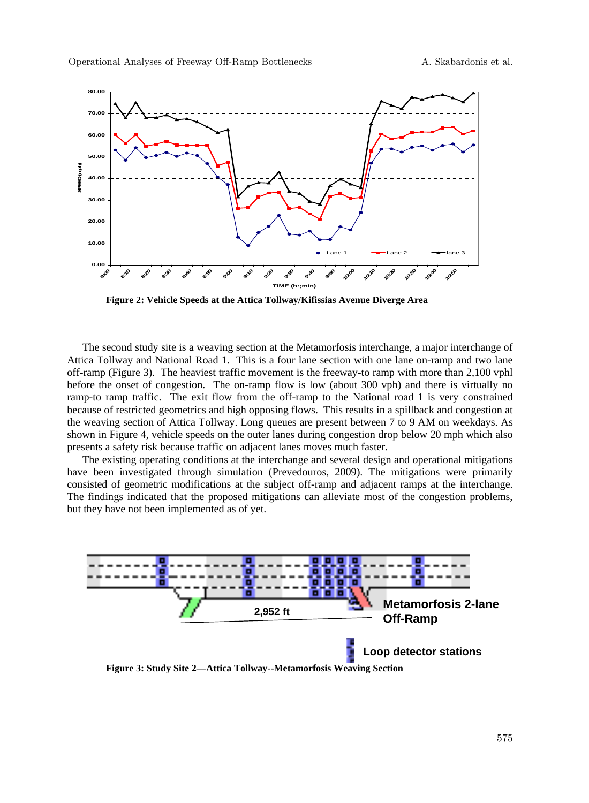

**Figure 2: Vehicle Speeds at the Attica Tollway/Kifissias Avenue Diverge Area** 

The second study site is a weaving section at the Metamorfosis interchange, a major interchange of Attica Tollway and National Road 1. This is a four lane section with one lane on-ramp and two lane off-ramp (Figure 3). The heaviest traffic movement is the freeway-to ramp with more than 2,100 vphl before the onset of congestion. The on-ramp flow is low (about 300 vph) and there is virtually no ramp-to ramp traffic. The exit flow from the off-ramp to the National road 1 is very constrained because of restricted geometrics and high opposing flows. This results in a spillback and congestion at the weaving section of Attica Tollway. Long queues are present between 7 to 9 AM on weekdays. As shown in Figure 4, vehicle speeds on the outer lanes during congestion drop below 20 mph which also presents a safety risk because traffic on adjacent lanes moves much faster.

The existing operating conditions at the interchange and several design and operational mitigations have been investigated through simulation (Prevedouros, 2009). The mitigations were primarily consisted of geometric modifications at the subject off-ramp and adjacent ramps at the interchange. The findings indicated that the proposed mitigations can alleviate most of the congestion problems, but they have not been implemented as of yet.

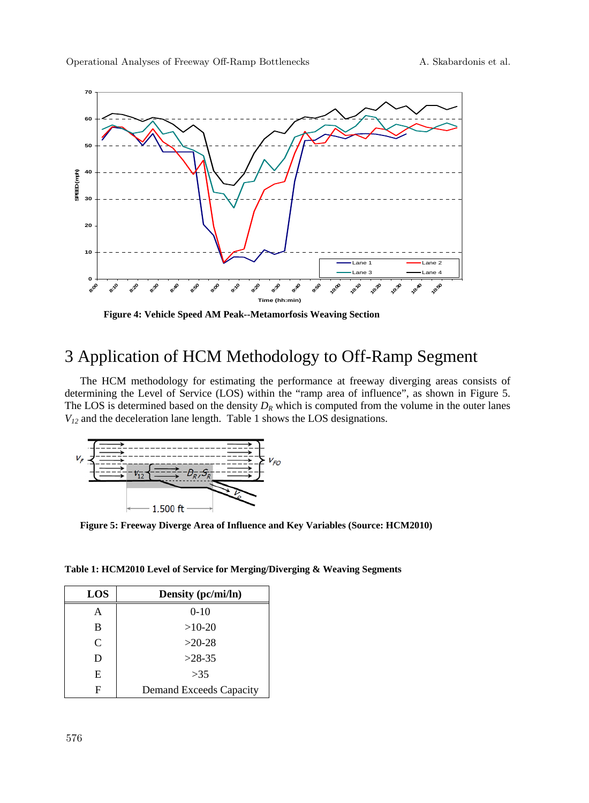

**Figure 4: Vehicle Speed AM Peak--Metamorfosis Weaving Section** 

## 3 Application of HCM Methodology to Off-Ramp Segment

The HCM methodology for estimating the performance at freeway diverging areas consists of determining the Level of Service (LOS) within the "ramp area of influence", as shown in Figure 5. The LOS is determined based on the density  $D_R$  which is computed from the volume in the outer lanes *V12* and the deceleration lane length. Table 1 shows the LOS designations.



**Figure 5: Freeway Diverge Area of Influence and Key Variables (Source: HCM2010)** 

**Table 1: HCM2010 Level of Service for Merging/Diverging & Weaving Segments** 

| LOS           | Density (pc/mi/ln)      |
|---------------|-------------------------|
| A             | $0-10$                  |
| B             | $>10-20$                |
| $\mathcal{C}$ | $>20-28$                |
| D             | $>28-35$                |
| E             | >35                     |
| F             | Demand Exceeds Capacity |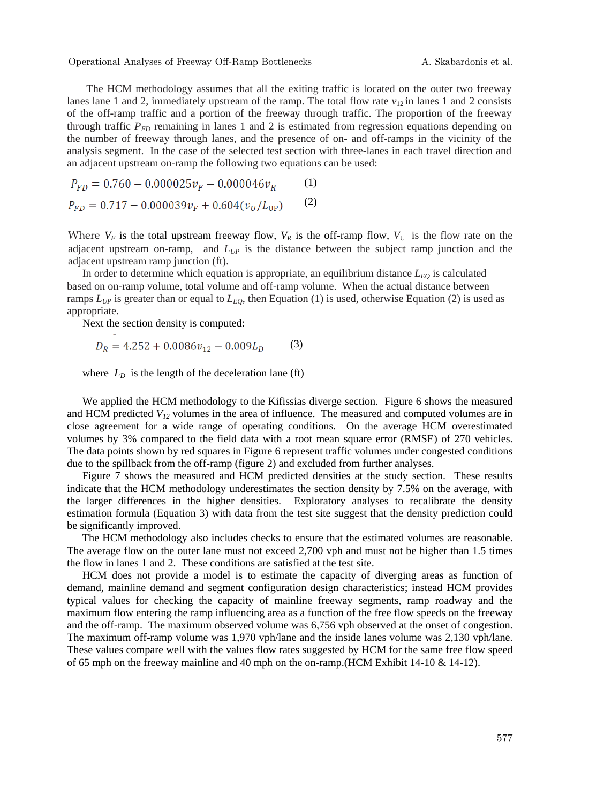Operational Analyses of Freeway Off-Ramp Bottlenecks A. Skabardonis et al.

The HCM methodology assumes that all the exiting traffic is located on the outer two freeway lanes lane 1 and 2, immediately upstream of the ramp. The total flow rate  $v_{12}$  in lanes 1 and 2 consists of the off-ramp traffic and a portion of the freeway through traffic. The proportion of the freeway through traffic  $P_{FD}$  remaining in lanes 1 and 2 is estimated from regression equations depending on the number of freeway through lanes, and the presence of on- and off-ramps in the vicinity of the analysis segment. In the case of the selected test section with three-lanes in each travel direction and an adjacent upstream on-ramp the following two equations can be used:

$$
P_{FD} = 0.760 - 0.000025v_F - 0.000046v_R
$$
 (1)  

$$
P_{FD} = 0.717 - 0.000039v_F + 0.604(v_U/L_{UP})
$$
 (2)

Where  $V_F$  is the total upstream freeway flow,  $V_R$  is the off-ramp flow,  $V_U$  is the flow rate on the adjacent upstream on-ramp, and  $L_{UP}$  is the distance between the subject ramp junction and the adjacent upstream ramp junction (ft).

In order to determine which equation is appropriate, an equilibrium distance  $L_{EQ}$  is calculated based on on-ramp volume, total volume and off-ramp volume. When the actual distance between ramps  $L_{UP}$  is greater than or equal to  $L_{EO}$ , then Equation (1) is used, otherwise Equation (2) is used as appropriate.

Next the section density is computed:

$$
D_R = 4.252 + 0.0086v_{12} - 0.009L_D \tag{3}
$$

where  $L<sub>D</sub>$  is the length of the deceleration lane (ft)

We applied the HCM methodology to the Kifissias diverge section. Figure 6 shows the measured and HCM predicted  $V_1$ <sup>2</sup> volumes in the area of influence. The measured and computed volumes are in close agreement for a wide range of operating conditions. On the average HCM overestimated volumes by 3% compared to the field data with a root mean square error (RMSE) of 270 vehicles. The data points shown by red squares in Figure 6 represent traffic volumes under congested conditions due to the spillback from the off-ramp (figure 2) and excluded from further analyses.

Figure 7 shows the measured and HCM predicted densities at the study section. These results indicate that the HCM methodology underestimates the section density by 7.5% on the average, with the larger differences in the higher densities. Exploratory analyses to recalibrate the density estimation formula (Equation 3) with data from the test site suggest that the density prediction could be significantly improved.

The HCM methodology also includes checks to ensure that the estimated volumes are reasonable. The average flow on the outer lane must not exceed 2,700 vph and must not be higher than 1.5 times the flow in lanes 1 and 2. These conditions are satisfied at the test site.

HCM does not provide a model is to estimate the capacity of diverging areas as function of demand, mainline demand and segment configuration design characteristics; instead HCM provides typical values for checking the capacity of mainline freeway segments, ramp roadway and the maximum flow entering the ramp influencing area as a function of the free flow speeds on the freeway and the off-ramp. The maximum observed volume was 6,756 vph observed at the onset of congestion. The maximum off-ramp volume was 1,970 vph/lane and the inside lanes volume was 2,130 vph/lane. These values compare well with the values flow rates suggested by HCM for the same free flow speed of 65 mph on the freeway mainline and 40 mph on the on-ramp. (HCM Exhibit 14-10  $\&$  14-12).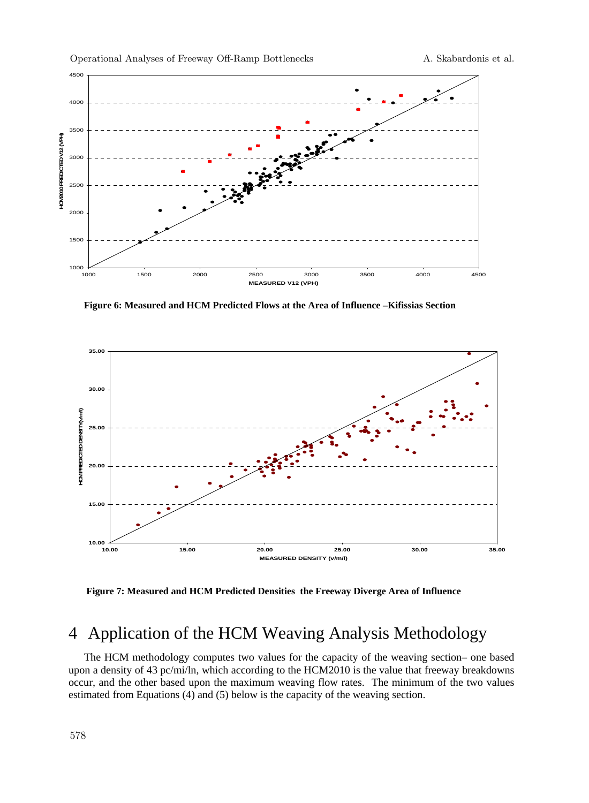

Operational Analyses of Freeway Off-Ramp Bottlenecks A. Skabardonis et al.

**Figure 6: Measured and HCM Predicted Flows at the Area of Influence –Kifissias Section** 



 **Figure 7: Measured and HCM Predicted Densities the Freeway Diverge Area of Influence** 

## 4 Application of the HCM Weaving Analysis Methodology

The HCM methodology computes two values for the capacity of the weaving section– one based upon a density of 43 pc/mi/ln, which according to the HCM2010 is the value that freeway breakdowns occur, and the other based upon the maximum weaving flow rates. The minimum of the two values estimated from Equations (4) and (5) below is the capacity of the weaving section.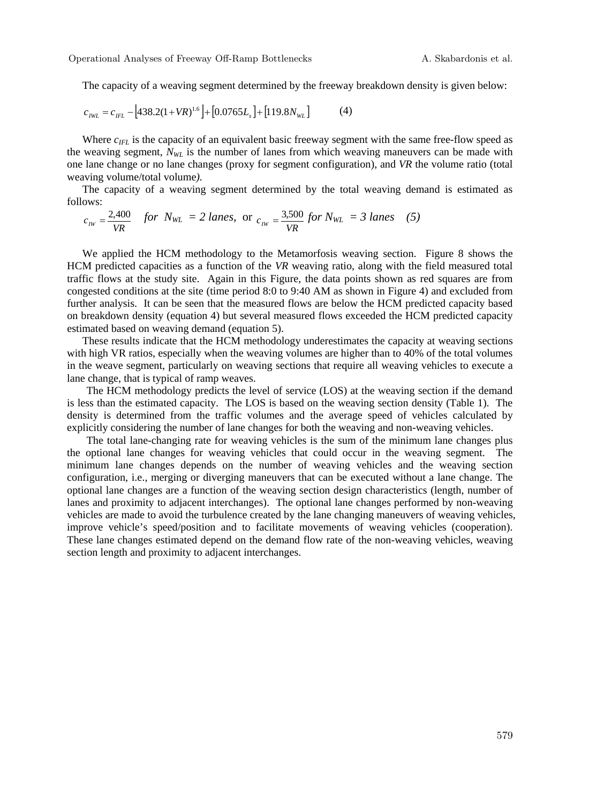The capacity of a weaving segment determined by the freeway breakdown density is given below:

$$
c_{IWL} = c_{IFL} - [438.2(1+VR)^{1.6}] + [0.0765L_s] + [119.8N_{WL}] \tag{4}
$$

Where  $c_{IFL}$  is the capacity of an equivalent basic freeway segment with the same free-flow speed as the weaving segment,  $N_{WL}$  is the number of lanes from which weaving maneuvers can be made with one lane change or no lane changes (proxy for segment configuration), and *VR* the volume ratio (total weaving volume/total volume*).* 

The capacity of a weaving segment determined by the total weaving demand is estimated as follows:

$$
c_{\text{rw}} = \frac{2,400}{VR}
$$
 for  $N_{\text{WL}} = 2$  *lanes*, or  $c_{\text{rw}} = \frac{3,500}{VR}$  for  $N_{\text{WL}} = 3$  *lanes* (5)

We applied the HCM methodology to the Metamorfosis weaving section. Figure 8 shows the HCM predicted capacities as a function of the *VR* weaving ratio, along with the field measured total traffic flows at the study site. Again in this Figure, the data points shown as red squares are from congested conditions at the site (time period 8:0 to 9:40 AM as shown in Figure 4) and excluded from further analysis. It can be seen that the measured flows are below the HCM predicted capacity based on breakdown density (equation 4) but several measured flows exceeded the HCM predicted capacity estimated based on weaving demand (equation 5).

These results indicate that the HCM methodology underestimates the capacity at weaving sections with high VR ratios, especially when the weaving volumes are higher than to 40% of the total volumes in the weave segment, particularly on weaving sections that require all weaving vehicles to execute a lane change, that is typical of ramp weaves.

The HCM methodology predicts the level of service (LOS) at the weaving section if the demand is less than the estimated capacity. The LOS is based on the weaving section density (Table 1). The density is determined from the traffic volumes and the average speed of vehicles calculated by explicitly considering the number of lane changes for both the weaving and non-weaving vehicles.

The total lane-changing rate for weaving vehicles is the sum of the minimum lane changes plus the optional lane changes for weaving vehicles that could occur in the weaving segment. The minimum lane changes depends on the number of weaving vehicles and the weaving section configuration, i.e., merging or diverging maneuvers that can be executed without a lane change. The optional lane changes are a function of the weaving section design characteristics (length, number of lanes and proximity to adjacent interchanges). The optional lane changes performed by non-weaving vehicles are made to avoid the turbulence created by the lane changing maneuvers of weaving vehicles, improve vehicle's speed/position and to facilitate movements of weaving vehicles (cooperation). These lane changes estimated depend on the demand flow rate of the non-weaving vehicles, weaving section length and proximity to adjacent interchanges.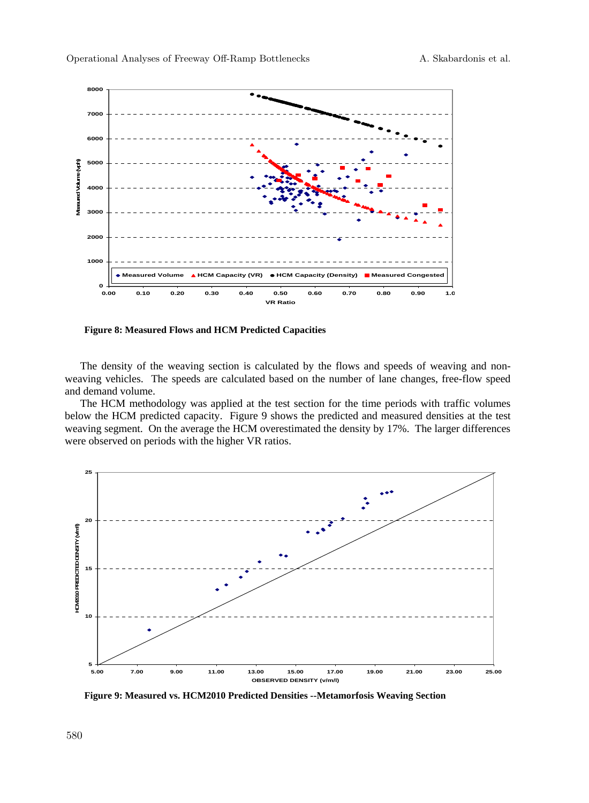

**Figure 8: Measured Flows and HCM Predicted Capacities** 

The density of the weaving section is calculated by the flows and speeds of weaving and nonweaving vehicles. The speeds are calculated based on the number of lane changes, free-flow speed and demand volume.

The HCM methodology was applied at the test section for the time periods with traffic volumes below the HCM predicted capacity. Figure 9 shows the predicted and measured densities at the test weaving segment. On the average the HCM overestimated the density by 17%. The larger differences were observed on periods with the higher VR ratios.



**Figure 9: Measured vs. HCM2010 Predicted Densities --Metamorfosis Weaving Section**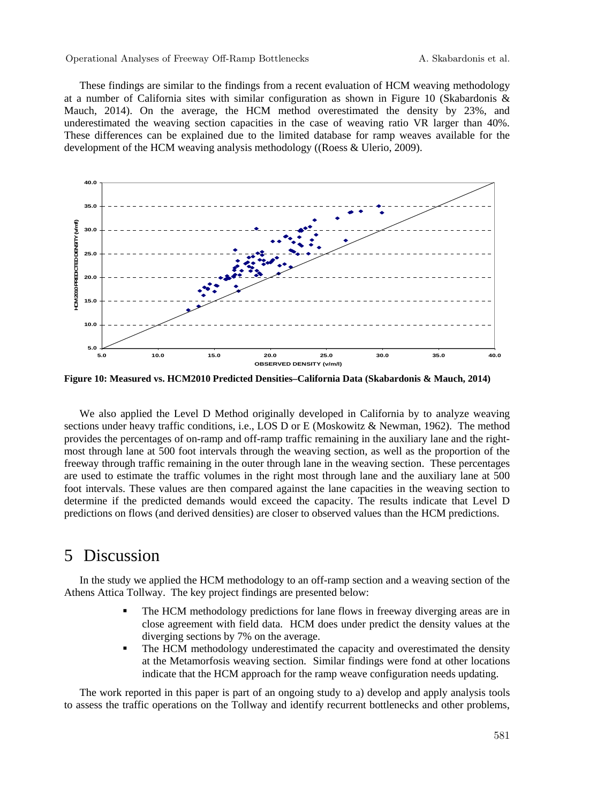#### Operational Analyses of Freeway Off-Ramp Bottlenecks A. Skabardonis et al.

These findings are similar to the findings from a recent evaluation of HCM weaving methodology at a number of California sites with similar configuration as shown in Figure 10 (Skabardonis & Mauch, 2014). On the average, the HCM method overestimated the density by 23%, and underestimated the weaving section capacities in the case of weaving ratio VR larger than 40%. These differences can be explained due to the limited database for ramp weaves available for the development of the HCM weaving analysis methodology ((Roess & Ulerio, 2009).



**Figure 10: Measured vs. HCM2010 Predicted Densities–California Data (Skabardonis & Mauch, 2014)** 

We also applied the Level D Method originally developed in California by to analyze weaving sections under heavy traffic conditions, i.e., LOS D or E (Moskowitz & Newman, 1962). The method provides the percentages of on-ramp and off-ramp traffic remaining in the auxiliary lane and the rightmost through lane at 500 foot intervals through the weaving section, as well as the proportion of the freeway through traffic remaining in the outer through lane in the weaving section. These percentages are used to estimate the traffic volumes in the right most through lane and the auxiliary lane at 500 foot intervals. These values are then compared against the lane capacities in the weaving section to determine if the predicted demands would exceed the capacity. The results indicate that Level D predictions on flows (and derived densities) are closer to observed values than the HCM predictions.

### 5 Discussion

In the study we applied the HCM methodology to an off-ramp section and a weaving section of the Athens Attica Tollway. The key project findings are presented below:

- The HCM methodology predictions for lane flows in freeway diverging areas are in close agreement with field data. HCM does under predict the density values at the diverging sections by 7% on the average.
- The HCM methodology underestimated the capacity and overestimated the density at the Metamorfosis weaving section. Similar findings were fond at other locations indicate that the HCM approach for the ramp weave configuration needs updating.

The work reported in this paper is part of an ongoing study to a) develop and apply analysis tools to assess the traffic operations on the Tollway and identify recurrent bottlenecks and other problems,